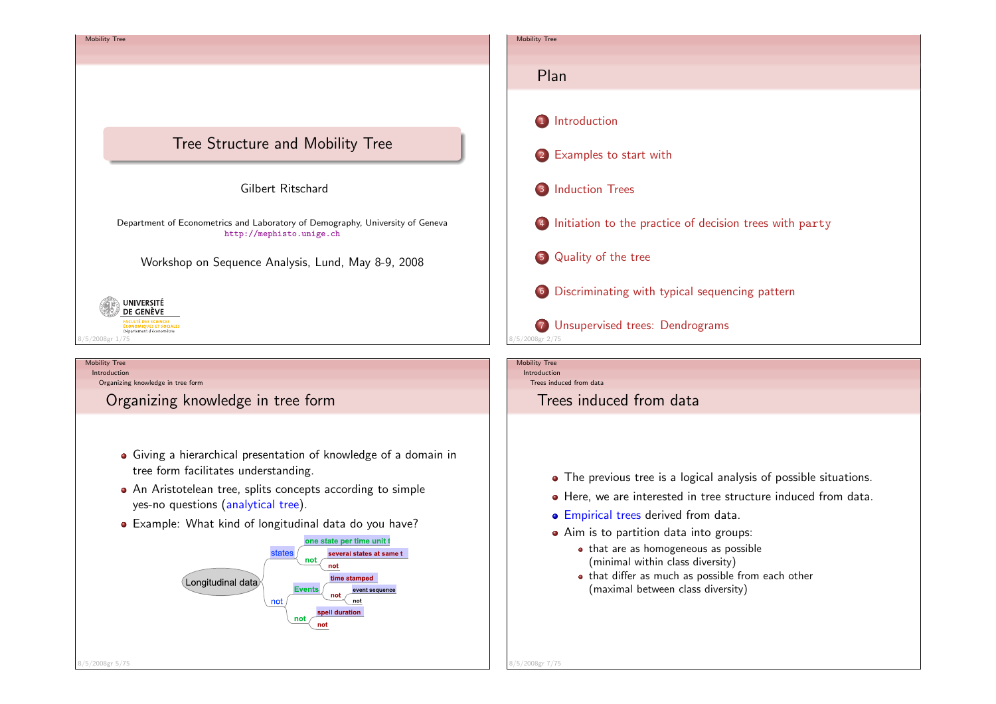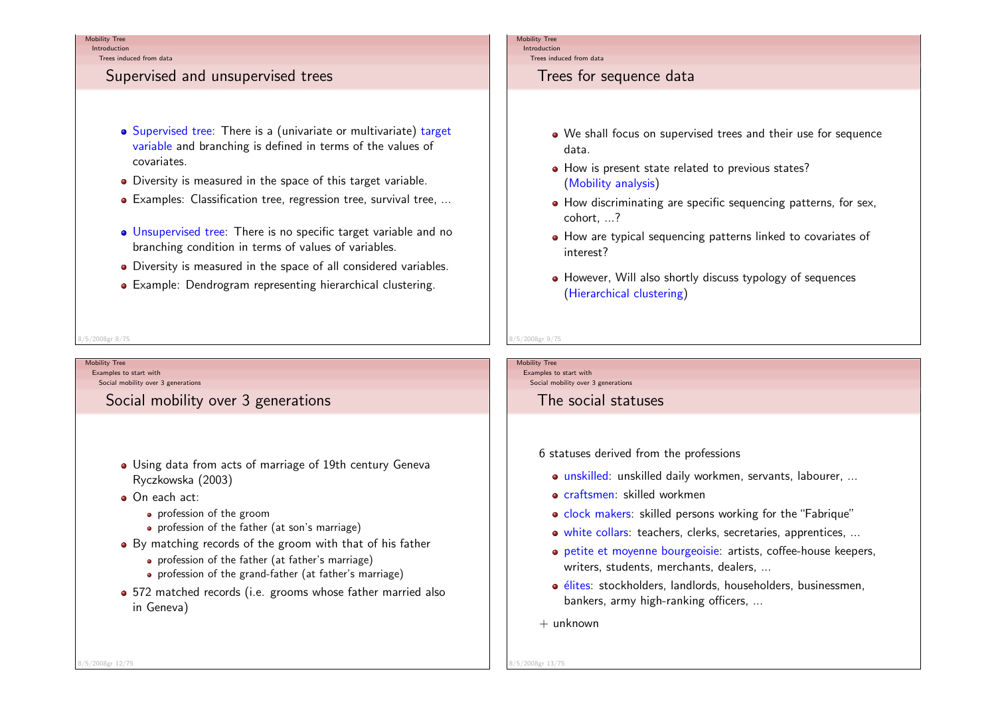IntroductionTrees induced from data

## Supervised and unsupervised trees

- Supervised tree: There is a (univariate or multivariate) target variable and branching is defined in terms of the values of covariates.
- Diversity is measured in the space of this target variable.
- Examples: Classification tree, regression tree, survival tree, ...
- Unsupervised tree: There is no specific target variable and nobranching condition in terms of values of variables.
- Diversity is measured in the space of all considered variables.
- Example: Dendrogram representing hierarchical clustering.

### Mobility Tree

 IntroductionTrees induced from data

## Trees for sequence data

- We shall focus on supervised trees and their use for sequencedata.
- How is present state related to previous states? (Mobility analysis)
- How discriminating are specific sequencing patterns, for sex, cohort, ...?
- How are typical sequencing patterns linked to covariates of interest?
- However, Will also shortly discuss typology of sequences (Hierarchical clustering)

#### 8/5/2008gr 8/75

Mobility Tree

 Examples to start withSocial mobility over 3 generations

Social mobility over 3 generations

- Using data from acts of marriage of 19th century GenevaRyczkowska (2003)
- On each act:
	- **•** profession of the groom
	- profession of the father (at son's marriage)
- By matching records of the groom with that of his father
	- profession of the father (at father's marriage)
	- profession of the grand-father (at father's marriage)
- 572 matched records (i.e. grooms whose father married also in Geneva)

#### Mobility TreeExamples to start with

8/5/2008gr 9/75

Social mobility over 3 generations

## The social statuses

6 statuses derived from the professions

- unskilled: unskilled daily workmen, servants, labourer, ...
- **o** craftsmen: skilled workmen
- clock makers: skilled persons working for the "Fabrique"
- white collars: teachers, clerks, secretaries, apprentices, ...
- petite et moyenne bourgeoisie: artists, coffee-house keepers,writers, students, merchants, dealers, ...
- élites: stockholders, landlords, householders, businessmen, bankers, army high-ranking officers, ...
- $+$  unknown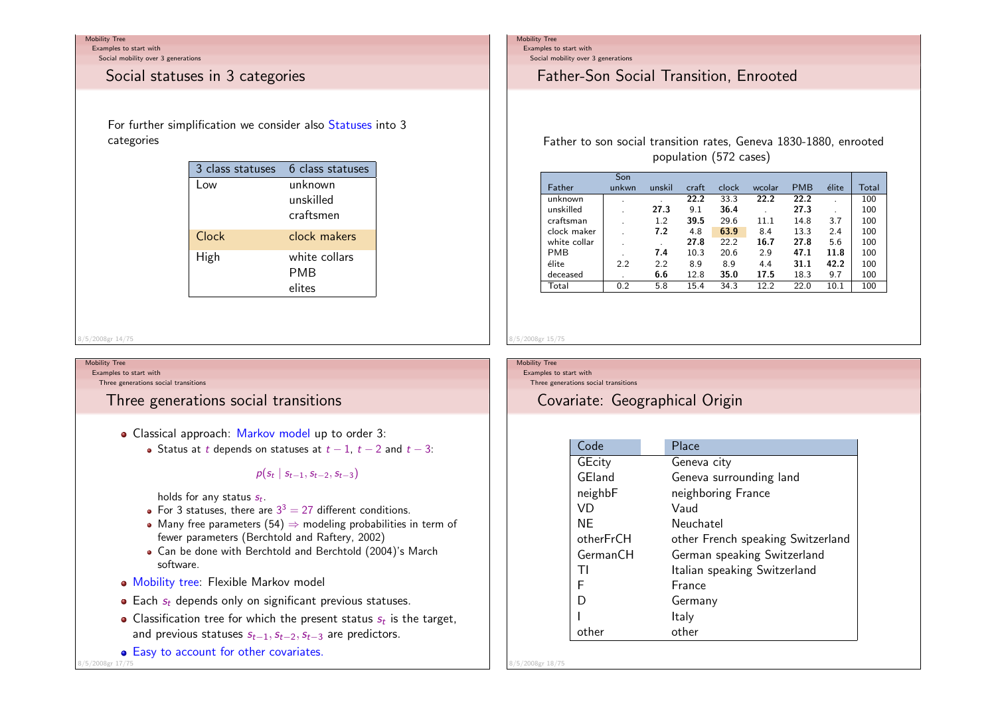Examples to start with

Social mobility over 3 generations

## Social statuses in 3 categories

For further simplification we consider also Statuses into 3 categories

| 3 class statuses | 6 class statuses                  |
|------------------|-----------------------------------|
| l ow             | unknown<br>unskilled<br>craftsmen |
| Clock            | clock makers                      |
| High             | white collars<br>PMB<br>elites    |

#### 8/5/2008gr 14/75

### Mobility Tree

Examples to start with

Three generations social transitions

# Three generations social transitions

- Classical approach: Markov model up to order 3:
	- Status at t depends on statuses at  $t-1$ ,  $t-2$  and  $t-3$ :

### $p(s_t | s_{t-1}, s_{t-2}, s_{t-3})$

holds for any status  $s_t$ .

- For 3 statuses, there are  $3^3 = 27$  different conditions.
- Many free parameters (54)  $\Rightarrow$  modeling probabilities in term of favor parameters (Berchtold and Baftery 2002) fewer parameters (Berchtold and Raftery, 2002)
- Can be done with Berchtold and Berchtold (2004)'s Marchsoftware.
- Mobility tree: Flexible Markov model
- Each  $s_t$  depends only on significant previous statuses.
- Classification tree for which the present status  $s_t$  is the target, and previous statuses  $s_{t-1},s_{t-2},s_{t-3}$  are predictors.
- Easy to account for other covariates.

8/5/2008gr 17/75

### Mobility Tree

Examples to start with

Social mobility over 3 generations

# Father-Son Social Transition, Enrooted

## Father to son social transition rates, Geneva 1830-1880, enrootedpopulation (572 cases)

|              | Son          |        |       |       |        |            |       |       |
|--------------|--------------|--------|-------|-------|--------|------------|-------|-------|
| Father       | unkwn        | unskil | craft | clock | wcolar | <b>PMB</b> | élite | Total |
| unknown      | ٠            |        | 22.2  | 33.3  | 22.2   | 22.2       |       | 100   |
| unskilled    |              | 27.3   | 9.1   | 36.4  |        | 27.3       |       | 100   |
| craftsman    |              | 1.2    | 39.5  | 29.6  | 11.1   | 14.8       | 3.7   | 100   |
| clock maker  |              | 7.2    | 4.8   | 63.9  | 8.4    | 13.3       | 2.4   | 100   |
| white collar | $\sim$       |        | 27.8  | 22.2  | 16.7   | 27.8       | 5.6   | 100   |
| <b>PMB</b>   |              | 7.4    | 10.3  | 20.6  | 2.9    | 47.1       | 11.8  | 100   |
| élite        | 2.2          | 2.2    | 8.9   | 8.9   | 4.4    | 31.1       | 42.2  | 100   |
| deceased     | $\mathbf{r}$ | 6.6    | 12.8  | 35.0  | 17.5   | 18.3       | 9.7   | 100   |
| Total        | 0.2          | 5.8    | 15.4  | 34.3  | 12.2   | 22.0       | 10.1  | 100   |

#### Mobility TreeExamples to start with

8/5/2008gr 15/75

Three generations social transitions

# Covariate: Geographical Origin

| Code      | Place                             |
|-----------|-----------------------------------|
| GEcity    | Geneva city                       |
| GEland    | Geneva surrounding land           |
| neighbF   | neighboring France                |
| VD        | Vaud                              |
| ΝF        | Neuchatel                         |
| otherFrCH | other French speaking Switzerland |
| GermanCH  | German speaking Switzerland       |
| ΤI        | Italian speaking Switzerland      |
| F         | <b>France</b>                     |
| D         | Germany                           |
|           | Italy                             |
|           | other                             |

8/5/2008gr 18/75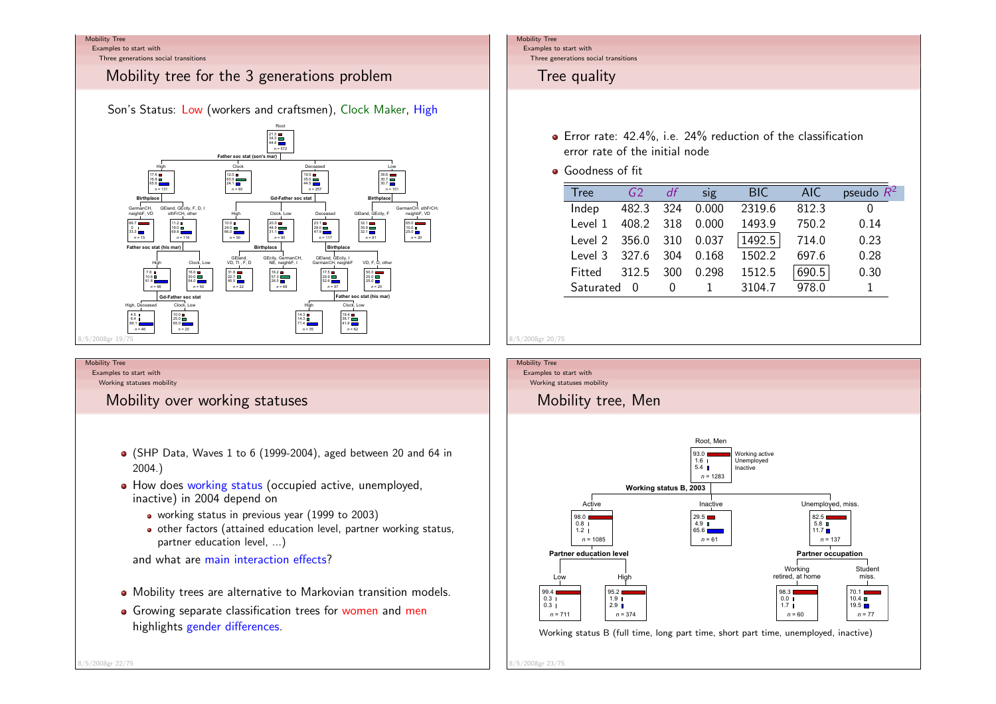Examples to start with

Three generations social transitions

# Mobility tree for the 3 generations problem

Son's Status: Low (workers and craftsmen), Clock Maker, High



### Mobility Tree

 Examples to start withWorking statuses mobility

Mobility over working statuses

- (SHP Data, Waves 1 to 6 (1999-2004), aged between 20 and 64 in2004.)
- How does working status (occupied active, unemployed, inactive) in 2004 depend on
	- working status in previous year (1999 to 2003)
	- other factors (attained education level, partner working status,partner education level, ...)

and what are main interaction effects?

- Mobility trees are alternative to Markovian transition models.
- Growing separate classification trees for women and men highlights gender differences.

### Mobility Tree

 Examples to start withThree generations social transitions

# Tree quality

- Error rate: 42.4%, i.e. 24% reduction of the classificationerror rate of the initial node
- **Goodness of fit**

| Tree              | G2        |     | sig             | <b>BIC</b> | AIC.  | pseudo $R^2$ |
|-------------------|-----------|-----|-----------------|------------|-------|--------------|
| Indep             |           |     | 482.3 324 0.000 | 2319.6     | 812.3 |              |
| Level 1           | 408.2 318 |     | 0.000           | 1493.9     | 750.2 | 0.14         |
| Level $2$ 356.0   |           | 310 | 0.037           | 1492.5     | 714.0 | 0.23         |
| Level 3 327.6 304 |           |     | 0.168           | 1502.2     | 697.6 | 0.28         |
| Fitted            | 312.5     | 300 | 0.298           | 1512.5     | 690.5 | 0.30         |
| Saturated         |           |     |                 | 3104.7     | 978.0 |              |



8/5/2008gr 23/75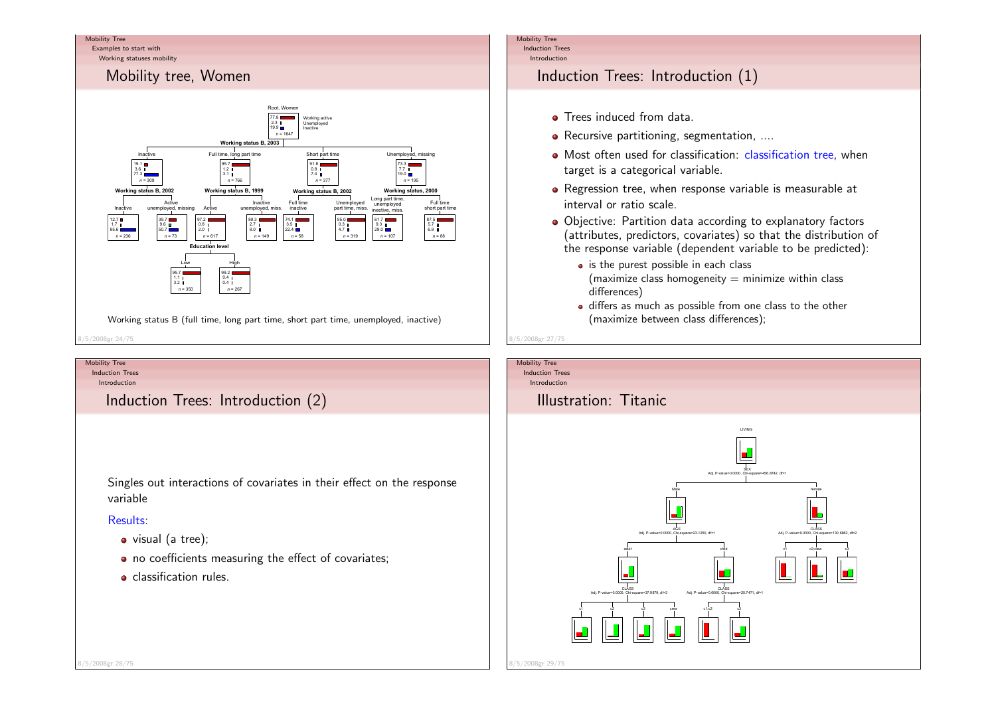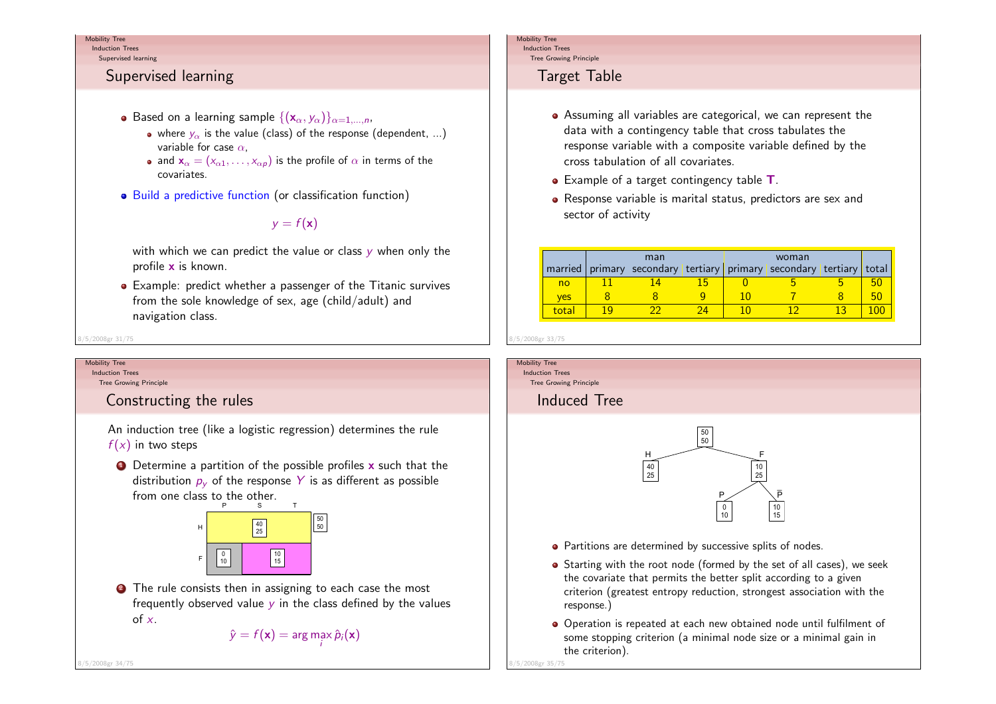Induction TreesSupervised learning

# Supervised learning

- Based on a learning sample  $\{(\mathsf{x}_{\alpha},y_{\alpha})\}_{\alpha=1,...,n},$ 
	- where  $y_{\alpha}$  is the value (class) of the response (dependent, ...) variable for case  $\alpha,$
	- and  $\mathbf{x}_{\alpha} = (x_{\alpha 1}, \dots, x_{\alpha p})$  is the profile of  $\alpha$  in terms of the covariates.
- Build a predictive function (or classification function)

# $y = f(\mathbf{x})$

with which we can predict the value or class  $y$  when only the profile <mark>x</mark> is known.

Example: predict whether a passenger of the Titanic survivesfrom the sole knowledge of sex, age (child/adult) andnavigation class.

8/5/2008gr 31/75

#### Mobility TreeInduction Trees

8/5/2008gr 34/75

Tree Growing Principle

## Constructing the rules

An induction tree (like a logistic regression) determines the rule $f(x)$  in two steps

 $\bullet$  Determine a partition of the possible profiles  ${\mathbf x}$  such that the distribution  $p_y$  of the response  $Y$  is as different as possible from one class to the other. $\mathbf{r}$ 



**2** The rule consists then in assigning to each case the most frequently observed value  $y$  in the class defined by the values of  $x$ .

$$
\hat{y} = f(\mathbf{x}) = \arg\max_{i} \hat{p}_i(\mathbf{x})
$$

Mobility Tree Induction Trees

Tree Growing Principle

# Target Table

- Assuming all variables are categorical, we can represent thedata with a contingency table that cross tabulates the response variable with a composite variable defined by thecross tabulation of all covariates.
- Example of a target contingency table  ${\sf T}.$
- Response variable is marital status, predictors are sex andsector of activity

| married        |    | man<br>primary secondary tertiary primary secondary tertiary |    |    | woman |    | total |
|----------------|----|--------------------------------------------------------------|----|----|-------|----|-------|
| n <sub>o</sub> |    |                                                              |    |    |       |    | 50    |
| <b>ves</b>     |    |                                                              |    | 10 |       |    | 50    |
| total          | 10 |                                                              | 24 |    |       | 13 | 100   |



- the covariate that permits the better split according to a given criterion (greatest entropy reduction, strongest association with theresponse.)
- Operation is repeated at each new obtained node until fulfilment ofsome stopping criterion (a minimal node size or a minimal gain inthe criterion).

8/5/2008gr 35/75

Mobility Tree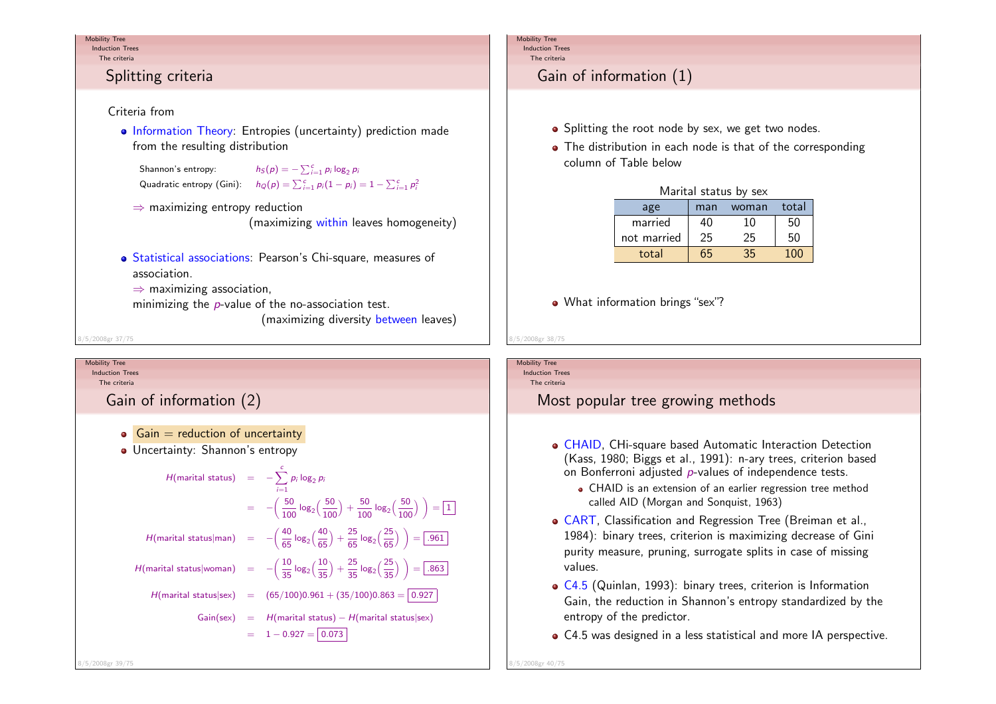#### Mobility TreeInduction Trees

The criteria

# Splitting criteria

## Criteria from

 Information Theory: Entropies (uncertainty) prediction madefrom the resulting distribution

```
Shannon's entropy:: h_S(p) = -\sum_{i=1}^c p_i \log_2 p_iQuadratic entropy (Gini): h_Q(p) = \sum_{i=1}^{c} p_i (1 - p_i) = 1 - \sum_{i=1}^{c} p_i^2
```
⇒ maximizing entropy reduction

(maximizing within leaves homogeneity)

- Statistical associations: Pearson's Chi-square, measures ofassociation.
	- $\Rightarrow$  maximizing association,<br>minimizing the narchuo of :
	- minimizing the  $\emph{p}$ -value of the no-association test.

(maximizing diversity between leaves)

8/5/2008gr 37/75

#### Mobility TreeInduction Trees

The criteria

Gain of information (2)

- $\bullet$  Gain = reduction of uncertainty
- Uncertainty: Shannon's entropy

$$
H(\text{marital status}) = -\sum_{i=1}^{c} p_i \log_2 p_i
$$
  
\n
$$
= -\left(\frac{50}{100} \log_2 \left(\frac{50}{100}\right) + \frac{50}{100} \log_2 \left(\frac{50}{100}\right)\right) = \boxed{1}
$$
  
\n
$$
H(\text{marital status}|\text{man}) = -\left(\frac{40}{65} \log_2 \left(\frac{40}{65}\right) + \frac{25}{65} \log_2 \left(\frac{25}{65}\right)\right) = \boxed{.961}
$$
  
\n
$$
H(\text{marital status}|\text{woman}) = -\left(\frac{10}{35} \log_2 \left(\frac{10}{35}\right) + \frac{25}{35} \log_2 \left(\frac{25}{35}\right)\right) = \boxed{.863}
$$
  
\n
$$
H(\text{marital status}|\text{sex}) = (65/100)0.961 + (35/100)0.863 = \boxed{0.927}
$$
  
\n
$$
\text{Gain}(\text{sex}) = H(\text{marital status}) - H(\text{marital status}|\text{sex})
$$
  
\n
$$
= 1 - 0.927 = \boxed{0.073}
$$

#### Mobility Tree Induction TreesThe criteria

# Gain of information (1)

- Splitting the root node by sex, we get two nodes.
- The distribution in each node is that of the corresponding column of Table below

| Marital status by sex |     |       |       |  |  |
|-----------------------|-----|-------|-------|--|--|
| age                   | man | woman | total |  |  |
| married               | 40  | 10    | 50    |  |  |
| not married           | 25  | 25    | 50    |  |  |
| total                 | 65  | 35    | 100   |  |  |

- What information brings "sex"?
- 8/5/2008gr 38/75Mobility Tree Induction TreesThe criteriaMost popular tree growing methodsCHAID, CHi-square based Automatic Interaction Detection (Kass, 1980; Biggs et al., 1991): n-ary trees, criterion basedon Bonferroni adjusted  $\rho$ -values of independence tests. CHAID is an extension of an earlier regression tree methodcalled AID (Morgan and Sonquist, 1963)CART, Classification and Regression Tree (Breiman et al.,1984): binary trees, criterion is maximizing decrease of Gini purity measure, pruning, surrogate splits in case of missingvalues.C4.5 (Quinlan, 1993): binary trees, criterion is Information Gain, the reduction in Shannon's entropy standardized by theentropy of the predictor.
	- C4.5 was designed in a less statistical and more IA perspective.

8/5/2008gr 40/75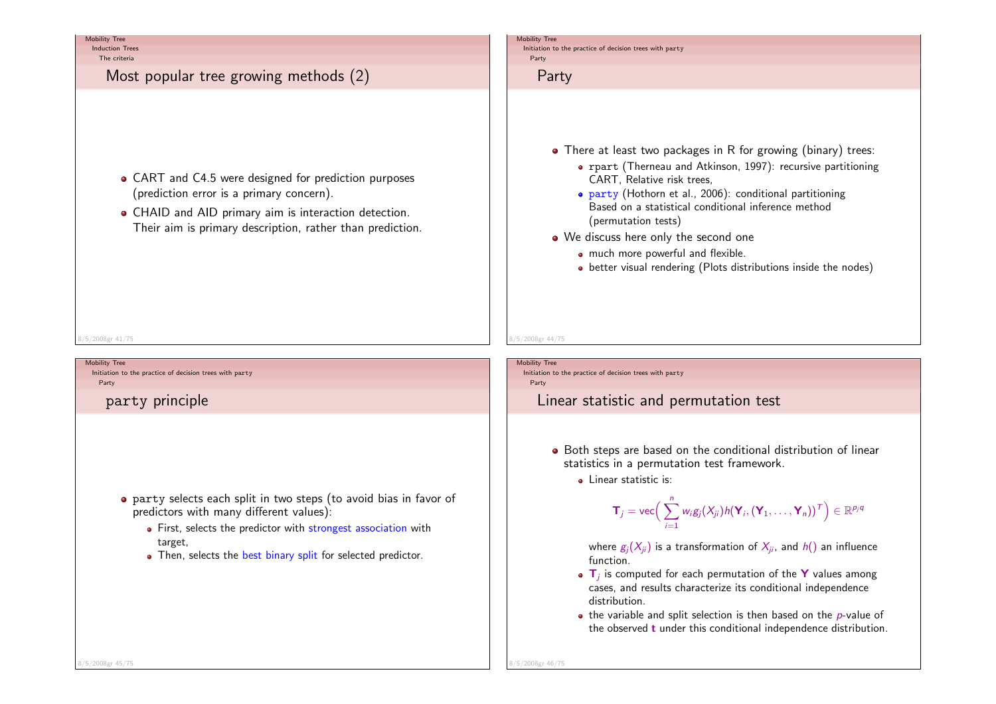Induction TreesThe criteria

# Most popular tree growing methods (2)

- CART and C4.5 were designed for prediction purposes (prediction error is a primary concern).
- CHAID and AID primary aim is interaction detection.Their aim is primary description, rather than prediction.

#### 8/5/2008gr 41/75

Mobility Tree Initiation to the practice of decision trees with party Party

# party principle

- party selects each split in two steps (to avoid bias in favor of predictors with many different values):
	- First, selects the predictor with <mark>strongest association</mark> with target,
	- Then, selects the best binary split for selected predictor.

#### Mobility Tree

 Initiation to the practice of decision trees with party Party

## Party

- There at least two packages in R for growing (binary) trees:
	- rpart (Therneau and Atkinson, 1997): recursive partitioning CART, Relative risk trees,
	- party (Hothorn et al., 2006): conditional partitioning Based on a statistical conditional inference method(permutation tests)
- We discuss here only the second one
	- much more powerful and flexible.
	- better visual rendering (Plots distributions inside the nodes)

### Mobility Tree

8/5/2008gr 44/75

 Initiation to the practice of decision trees with party Party

## Linear statistic and permutation test

- Both steps are based on the conditional distribution of linear statistics in a permutation test framework.
	- **.** Linear statistic is:

$$
\mathbf{T}_j = \text{vec}\Big(\sum_{i=1}^n w_i g_j(X_{ji}) h(\mathbf{Y}_i, (\mathbf{Y}_1, \dots, \mathbf{Y}_n))^\mathsf{T}\Big) \in \mathbb{R}^{p_j q}
$$

where  $\mathrm{g}_{j}(X_{ji})$  is a transformation of  $X_{ji}$ , and  $h()$  an influence function.

- $\mathbf{T}_j$  is computed for each permutation of the **Y** values among cases, and results characterize its conditional independencedistribution.
- the variable and split selection is then based on the  $\rho$ -value of the observed  ${\bf t}$  under this conditional independence distribution.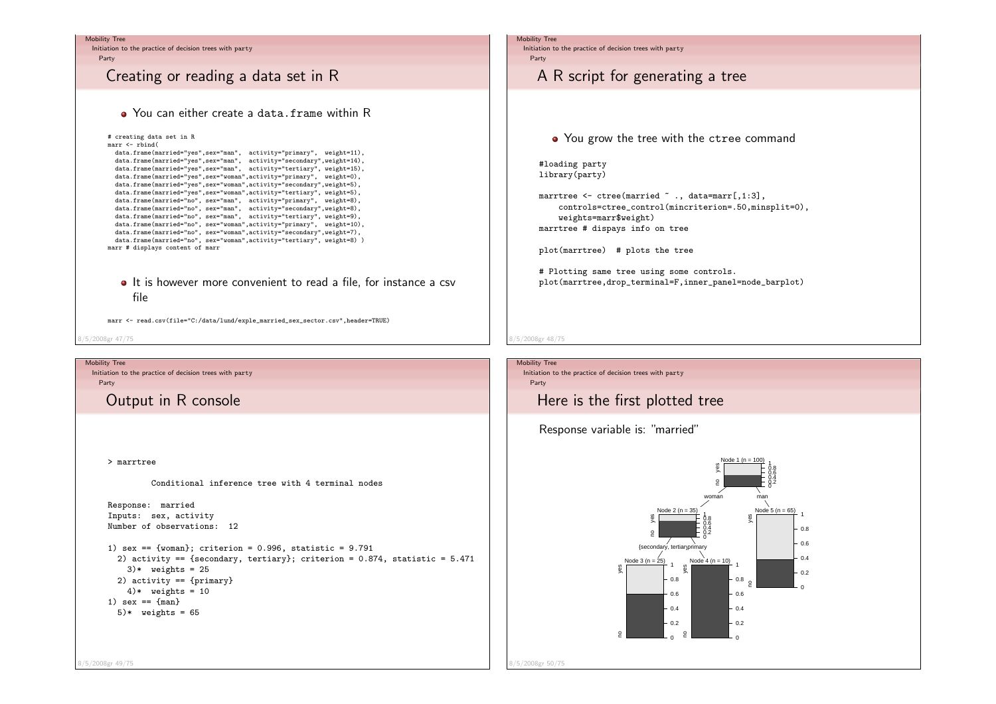

8/5/2008gr 49/75

8/5/2008gr 50/75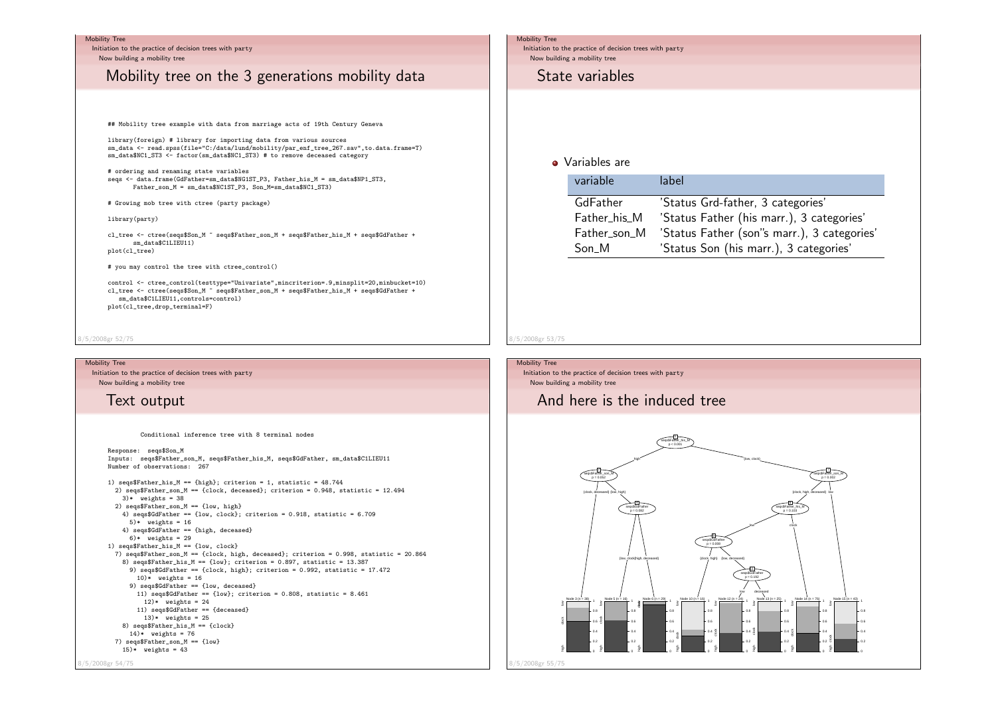Initiation to the practice of decision trees with party Now building a mobility tree

# Mobility tree on the 3 generations mobility data

## Mobility tree example with data from marriage acts of 19th Century Geneva

library(foreign) # library for importing data from various sources sm\_data <- read.spss(file="C:/data/lund/mobility/par\_enf\_tree\_267.sav",to.data.frame=T)sm\_data\$NC1\_ST3 <- factor(sm\_data\$NC1\_ST3) # to remove deceased category

# ordering and renaming state variables seqs <- data.frame(GdFather=sm\_data\$NG1ST\_P3, Father\_his\_M = sm\_data\$NP1\_ST3,Father\_son\_M = sm\_data\$NC1ST\_P3, Son\_M=sm\_data\$NC1\_ST3)

# Growing mob tree with ctree (party package)

library(party)

cl\_tree <- ctree(seqs\$Son\_M ~ seqs\$Father\_son\_M + seqs\$Father\_his\_M + seqs\$GdFather +sm\_data\$C1LIEU11)plot(cl\_tree)

# you may control the tree with ctree\_control()

control <- ctree\_control(testtype="Univariate",mincriterion=.9,minsplit=20,minbucket=10)cl\_tree <- ctree(seqs\$Son\_M ~ seqs\$Father\_son\_M + seqs\$Father\_his\_M + seqs\$GdFather +-<br>sm\_data\$C1LIEU11,controls=control) plot(cl\_tree,drop\_terminal=F)

#### 8/5/2008gr 52/75

#### Mobility Tree

 Initiation to the practice of decision trees with party Now building a mobility tree

## Text output

Conditional inference tree with 8 terminal nodes

Response: seqs\$Son\_M Inputs: seqs\$Father\_son\_M, seqs\$Father\_his\_M, seqs\$GdFather, sm\_data\$C1LIEU11Number of observations: 2671) seqs\$Father\_his\_M == {high}; criterion = 1, statistic = 48.744 2) seqs\$Father\_son\_M == {clock, deceased}; criterion = 0.948, statistic = 12.494 $3)*$  weights = 38 2) seqs\$Father\_son\_M == {low, high} 4) seqs\$GdFather == {low, clock}; criterion = 0.918, statistic = 6.709 $5)*$  weights = 16 4) seqs\$GdFather == {high, deceased} $6)*$  weights = 29 1) seqs\$Father\_his\_M == {low, clock} 7) seqs\$Father\_son\_M == {clock, high, deceased}; criterion = 0.998, statistic = 20.8648) seqs\$Father\_his\_M == {low}; criterion = 0.897, statistic = 13.387 9) seqs\$GdFather == {clock, high}; criterion = 0.992, statistic = 17.472 $10)*$  weights = 16 9) seqs\$GdFather == {low, deceased} 11) seqs\$GdFather == {low}; criterion = 0.808, statistic = 8.461 $12)*$  weights = 24 11) seqs\$GdFather == {deceased} $13)*$  weights = 25 8) seqs\$Father\_his\_M == {clock} $14)*$  weights = 76 7) seqs\$Father\_son\_M == {low} $15)*$  weights = 43

#### Mobility Tree

 Initiation to the practice of decision trees with party Now building a mobility tree

## State variables

### • Variables are

| variable     | label                                       |
|--------------|---------------------------------------------|
| GdFather     | 'Status Grd-father, 3 categories'           |
| Father_his_M | 'Status Father (his marr.), 3 categories'   |
| Father_son_M | 'Status Father (son"s marr.), 3 categories' |
| Son M        | 'Status Son (his marr.), 3 categories'      |

### 8/5/2008gr 53/75

Mobility Tree Initiation to the practice of decision trees with party Now building a mobility tree

## And here is the induced tree



8/5/2008gr 54/75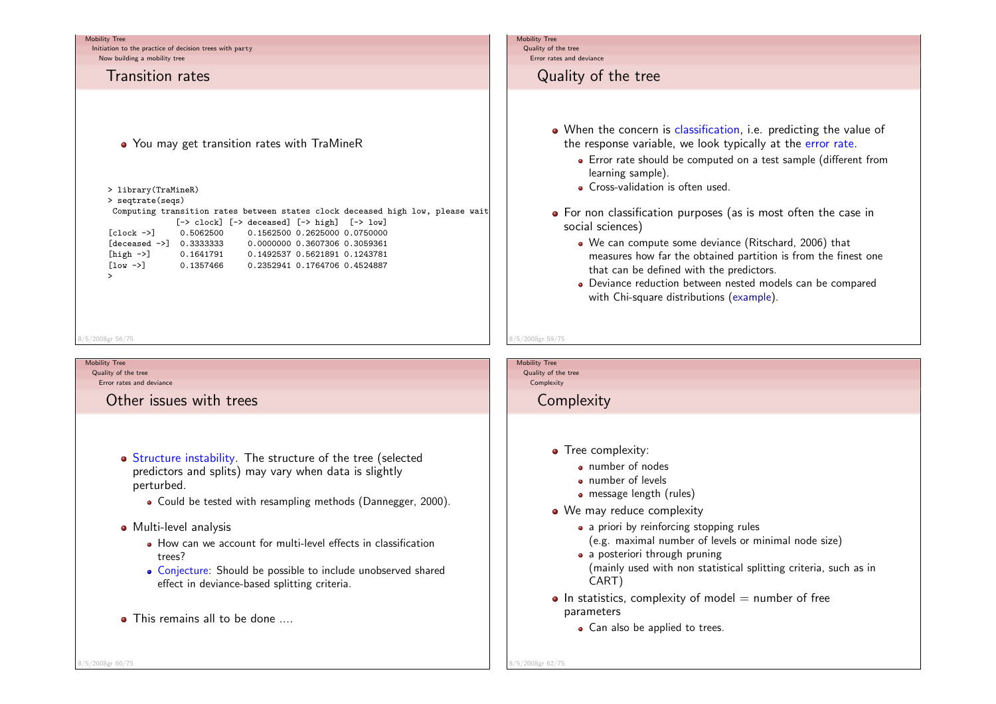# Mobility Tree Initiation to the practice of decision trees with party Now building a mobility treeTransition rates• You may get transition rates with TraMineR Mobility Tree Quality of the treeError rates and deviance

Computing transition rates between states clock deceased high low, please wait $\mid$ 

[-> clock] [-> deceased] [-> high] [-> low]

[clock ->] 0.5062500 0.1562500 0.2625000 0.0750000

 [deceased ->] 0.3333333 0.0000000 0.3607306 0.3059361 [high ->] 0.1641791 0.1492537 0.5621891 0.1243781 [low ->] 0.1357466 0.2352941 0.1764706 0.4524887>8/5/2008gr 56/75

> library(TraMineR)> seqtrate(seqs)

### Mobility Tree

8/5/2008gr 60/75

 Quality of the treeError rates and deviance

Other issues with trees

- Structure instability. The structure of the tree (selected predictors and splits) may vary when data is slightlyperturbed.
	- Could be tested with resampling methods (Dannegger, 2000).

### Multi-level analysis

- How can we account for multi-level effects in classificationtrees?
- Conjecture: Should be possible to include unobserved sharedeffect in deviance-based splitting criteria.
- **a** This remains all to be done

# Quality of the tree

- When the concern is classification, i.e. predicting the value of the response variable, we look typically at the <mark>error rate</mark>.
	- Error rate should be computed on a test sample (different fromlearning sample).
	- Cross-validation is often used.
- For non classification purposes (as is most often the case in social sciences)
	- We can compute some deviance (Ritschard, 2006) that measures how far the obtained partition is from the finest onethat can be defined with the predictors.
	- Deviance reduction between nested models can be comparedwith Chi-square distributions (example).
- Mobility Tree

8/5/2008gr 59/75

 Quality of the tree**Complexity** 

**Complexity** 

- Tree complexity:
	- number of nodes
		- number of levels
		- message length (rules)
- We may reduce complexity
	- a priori by reinforcing stopping rules
		- (e.g. maximal number of levels or minimal node size)
	- a posteriori through pruning (mainly used with non statistical splitting criteria, such as inCART)
- $\bullet$  In statistics, complexity of model  $=$  number of free parameters
	- Can also be applied to trees.

8/5/2008gr 62/75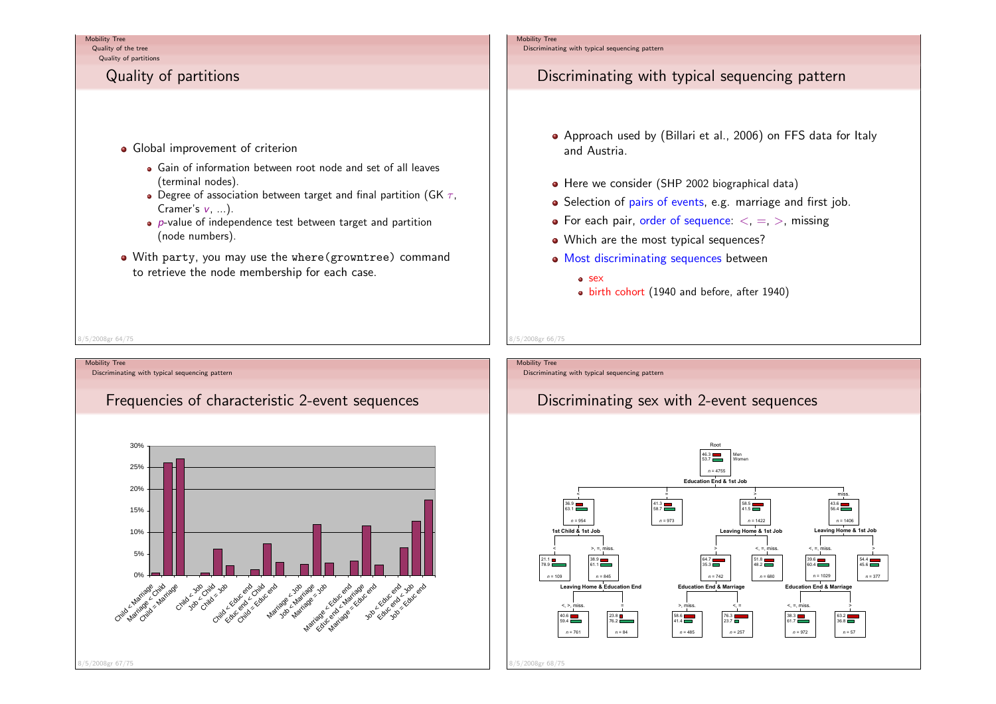Quality of the treeQuality of partitions

# Quality of partitions

- **•** Global improvement of criterion
	- Gain of information between root node and set of all leaves(terminal nodes).
	- Degree of association between target and final partition (GK  $\tau$ ,  $C$ ramer's  $v, \ ...).$
	- $\bullet$  p-value of independence test between target and partition (node numbers).
- With party, you may use the where(growntree) command to retrieve the node membership for each case.

### Mobility Tree

Discriminating with typical sequencing pattern

# Discriminating with typical sequencing pattern

- Approach used by (Billari et al., 2006) on FFS data for Italyand Austria.
- Here we consider (SHP 2002 biographical data)
- Selection of pairs of events, e.g. marriage and first job.
- For each pair, order of sequence:  $<, =, >,$  missing
- Which are the most typical sequences?
- Most discriminating sequences between

### o sex

birth cohort (1940 and before, after 1940)

8/5/2008gr 64/75

Mobility Tree Discriminating with typical sequencing patternFrequencies of characteristic 2-event sequences0%5%10% 15% 20%25%30%Child & Marriage Marriage Child Child state Child you Child you child care child end erd of Latiage ya Marriage Care Analyse and Job Educ end Lab end 8/5/2008gr 67/75

## Mobility Tree

8/5/2008gr 66/75

Discriminating with typical sequencing pattern

# Discriminating sex with 2-event sequences

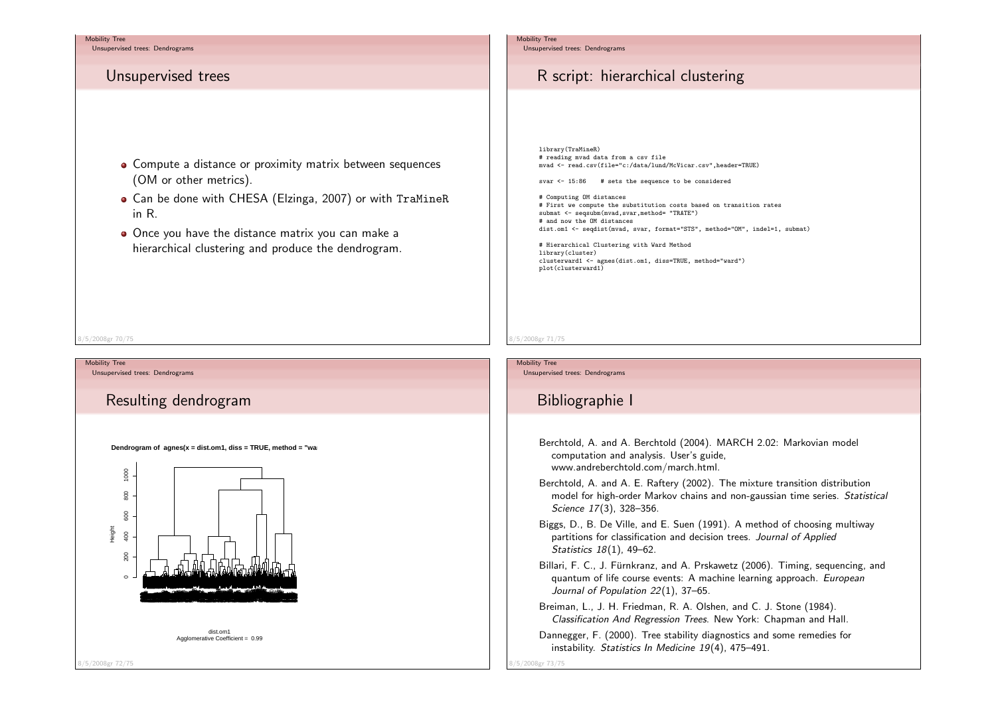Unsupervised trees: Dendrograms

## Unsupervised trees

- Compute a distance or proximity matrix between sequences (OM or other metrics).
- Can be done with CHESA (Elzinga, 2007) or with TraMineRin R.
- Once you have the distance matrix you can make ahierarchical clustering and produce the dendrogram.

#### 8/5/2008gr 70/75

Mobility TreeUnsupervised trees: Dendrograms

# Resulting dendrogram

**Dendrogram of agnes(x = dist.om1, diss = TRUE, method = "ward"** 



#### Mobility Tree

Unsupervised trees: Dendrograms

# R script: hierarchical clustering

library(TraMineR) # reading mvad data from a csv filemvad <- read.csv(file="c:/data/lund/McVicar.csv",header=TRUE)

svar  $\leq$  15:86 # sets the sequence to be considered

# Computing OM distances # First we compute the substitution costs based on transition ratessubmat <- seqsubm(mvad, svar, method= "TRATE") # and now the OM distancesdist.om1 <- seqdist(mvad, svar, format="STS", method="OM", indel=1, submat)

# Hierarchical Clustering with Ward Methodlibrary(cluster) clusterward1 <- agnes(dist.om1, diss=TRUE, method="ward")plot(clusterward1)

#### 8/5/2008gr 71/75

Mobility TreeUnsupervised trees: Dendrograms

# Bibliographie I

Berchtold, A. and A. Berchtold (2004). MARCH 2.02: Markovian modelcomputation and analysis. User's guide,www.andreberchtold.com/march.html.

- Berchtold, A. and A. E. Raftery (2002). The mixture transition distributionmodel for high-order Markov chains and non-gaussian time series. *Statistical* Science 17(3), 328–356.
- Biggs, D., B. De Ville, and E. Suen (1991). A method of choosing multiwaypartitions for classification and decision trees. Journal of Applied Statistics 18(1), 49–62.
- Billari, F. C., J. Fürnkranz, and A. Prskawetz (2006). Timing, sequencing, and quantum of life course events: A machine learning approach. *European* Journal of Population 22(1), 37–65.
- Breiman, L., J. H. Friedman, R. A. Olshen, and C. J. Stone (1984).Classification And Regression Trees. New York: Chapman and Hall.
- Dannegger, F. (2000). Tree stability diagnostics and some remedies forinstability. Statistics In Medicine 19(4), 475–491.

8/5/2008gr 73/75